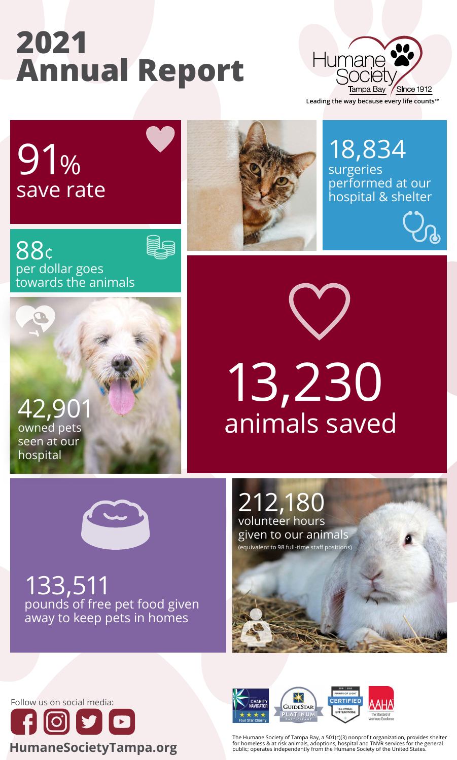## **2021 Annual Report**



**Leading the way because every life counts™**

## 91% save rate

owned pets seen at our hospital





18,834 surgeries performed at our hospital & shelter



13,230 animals saved



133,511 pounds of free pet food given away to keep pets in homes

## 212,180 volunteer hours given to our animals (equivalent to 98 full-time staff positions)



The Humane Society of Tampa Bay, a 501(c)(3) nonprofit organization, provides shelter for homeless & at risk animals, adoptions, hospital and TNVR services for the general public; operates independently from the Humane Society of the United States.